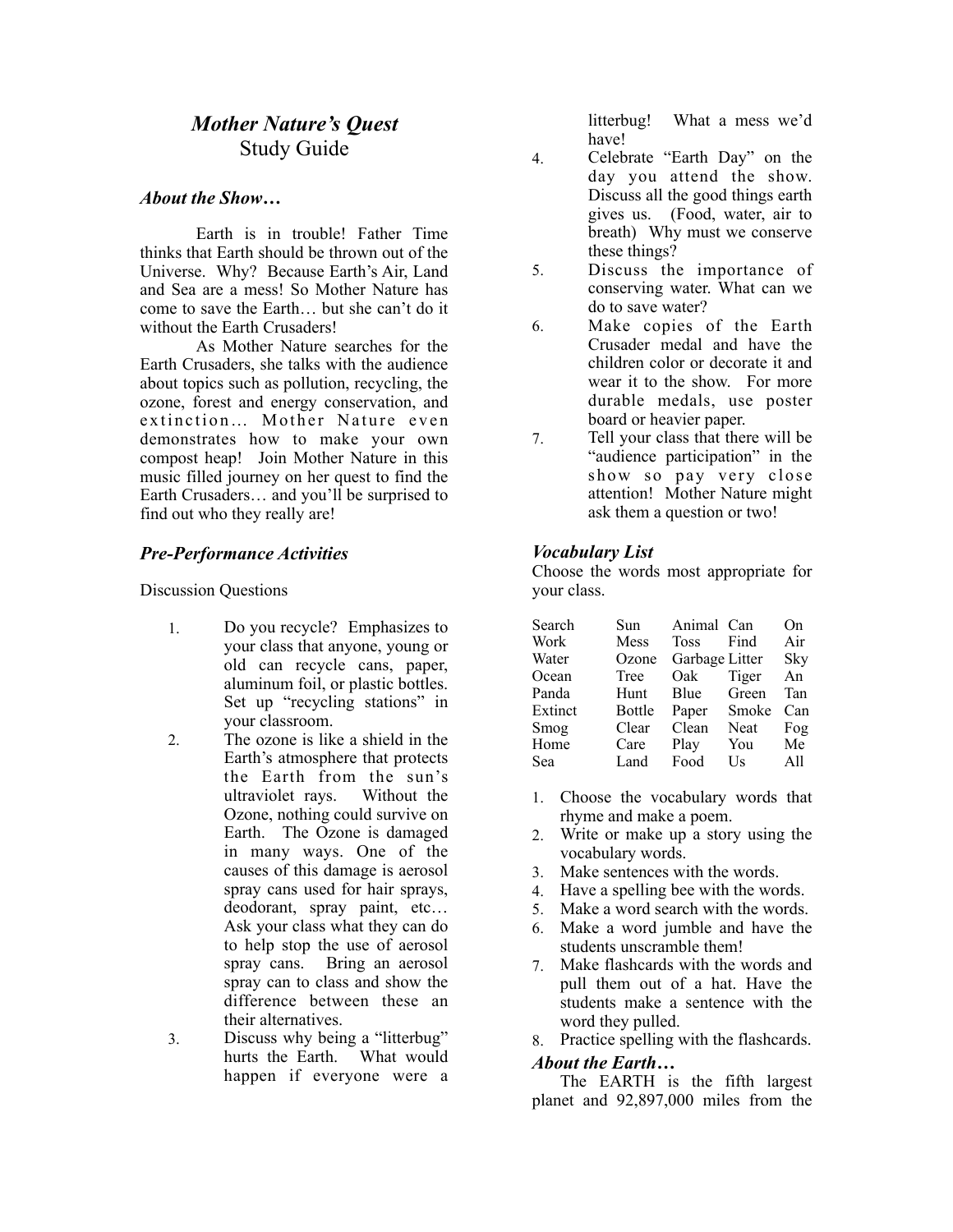# *Mother Nature's Quest*  Study Guide

## *About the Show…*

Earth is in trouble! Father Time thinks that Earth should be thrown out of the Universe. Why? Because Earth's Air, Land and Sea are a mess! So Mother Nature has come to save the Earth… but she can't do it without the Earth Crusaders!

 As Mother Nature searches for the Earth Crusaders, she talks with the audience about topics such as pollution, recycling, the ozone, forest and energy conservation, and extinction... Mother Nature even demonstrates how to make your own compost heap! Join Mother Nature in this music filled journey on her quest to find the Earth Crusaders… and you'll be surprised to find out who they really are!

## *Pre-Performance Activities*

Discussion Questions

- 1. Do you recycle? Emphasizes to your class that anyone, young or old can recycle cans, paper, aluminum foil, or plastic bottles. Set up "recycling stations" in your classroom.
- 2. The ozone is like a shield in the Earth's atmosphere that protects the Earth from the sun's ultraviolet rays. Without the Ozone, nothing could survive on Earth. The Ozone is damaged in many ways. One of the causes of this damage is aerosol spray cans used for hair sprays, deodorant, spray paint, etc… Ask your class what they can do to help stop the use of aerosol spray cans. Bring an aerosol spray can to class and show the difference between these an their alternatives.
- 3. Discuss why being a "litterbug" hurts the Earth. What would happen if everyone were a

litterbug! What a mess we'd have!

- 4. Celebrate "Earth Day" on the day you attend the show. Discuss all the good things earth gives us. (Food, water, air to breath) Why must we conserve these things?
- 5. Discuss the importance of conserving water. What can we do to save water?
- 6. Make copies of the Earth Crusader medal and have the children color or decorate it and wear it to the show. For more durable medals, use poster board or heavier paper.
- 7. Tell your class that there will be "audience participation" in the show so pay very close attention! Mother Nature might ask them a question or two!

#### *Vocabulary List*

Choose the words most appropriate for your class.

| Search  | Sun           | Animal Can     |       | On  |
|---------|---------------|----------------|-------|-----|
| Work    | Mess          | <b>Toss</b>    | Find  | Air |
| Water   | Ozone         | Garbage Litter |       | Sky |
| Ocean   | Tree          | Oak            | Tiger | An  |
| Panda   | Hunt          | Blue           | Green | Tan |
| Extinct | <b>Bottle</b> | Paper          | Smoke | Can |
| Smog    | Clear         | Clean          | Neat  | Fog |
| Home    | Care          | Play           | You   | Me  |
| Sea     | Land          | Food           | Us    | All |

- 1. Choose the vocabulary words that rhyme and make a poem.
- 2. Write or make up a story using the vocabulary words.
- 3. Make sentences with the words.
- 4. Have a spelling bee with the words.
- 5. Make a word search with the words.
- 6. Make a word jumble and have the students unscramble them!
- 7. Make flashcards with the words and pull them out of a hat. Have the students make a sentence with the word they pulled.
- 8. Practice spelling with the flashcards.

## *About the Earth…*

The EARTH is the fifth largest planet and 92,897,000 miles from the